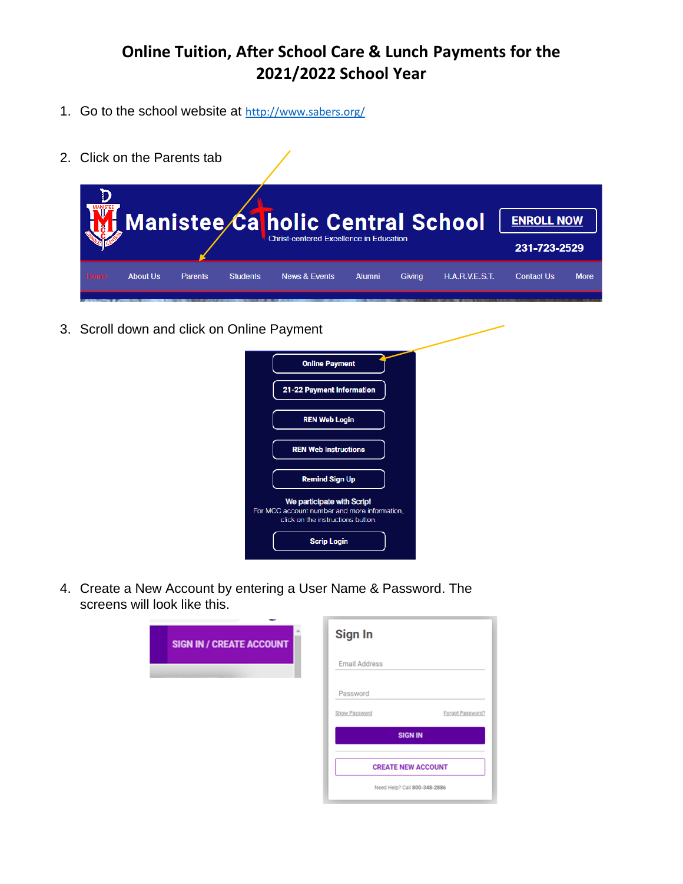- 1. Go to the school website at http://www.sabers.org/
- 2. Click on the Parents tab

|      |          |                |                 | Manistee Ca holic Central School<br><b>Christ-centered Excellence in Education</b> |               |        |                | <b>ENROLL NOW</b><br>231-723-2529 |             |
|------|----------|----------------|-----------------|------------------------------------------------------------------------------------|---------------|--------|----------------|-----------------------------------|-------------|
| Home | About Us | <b>Parents</b> | <b>Students</b> | <b>News &amp; Events</b>                                                           | <b>Alumni</b> | Givina | H.A.R.V.E.S.T. | <b>Contact Us</b>                 | <b>More</b> |

3. Scroll down and click on Online Payment

| <b>Online Payment</b>                                                                                           |
|-----------------------------------------------------------------------------------------------------------------|
| 21-22 Payment Information                                                                                       |
| <b>REN Web Login</b>                                                                                            |
| <b>REN Web Instructions</b>                                                                                     |
| <b>Remind Sign Up</b>                                                                                           |
| We participate with Scrip!<br>For MCC account number and more information,<br>click on the instructions button. |
| <b>Scrip Login</b>                                                                                              |

4. Create a New Account by entering a User Name & Password. The screens will look like this.

| <b>SIGN IN / CREATE ACCOUNT</b> | Sign In                      |                  |
|---------------------------------|------------------------------|------------------|
|                                 | Email Address                |                  |
|                                 | Password                     |                  |
|                                 | Show Password                | Forgot Password? |
|                                 | <b>SIGN IN</b>               |                  |
|                                 | <b>CREATE NEW ACCOUNT</b>    |                  |
|                                 | Need Help? Call 800-348-2886 |                  |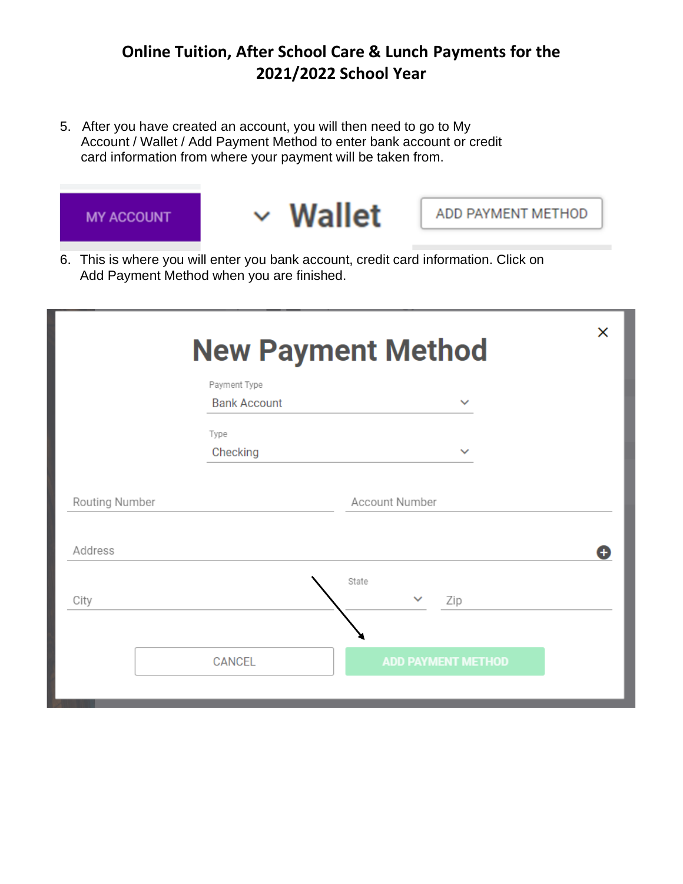5. After you have created an account, you will then need to go to My Account / Wallet / Add Payment Method to enter bank account or credit card information from where your payment will be taken from.



6. This is where you will enter you bank account, credit card information. Click on Add Payment Method when you are finished.

|                |                                     | <b>New Payment Method</b>    | × |
|----------------|-------------------------------------|------------------------------|---|
|                | Payment Type<br><b>Bank Account</b> | $\checkmark$                 |   |
|                | Type<br>Checking                    | $\checkmark$                 |   |
| Routing Number |                                     | Account Number               |   |
| Address        |                                     |                              | Θ |
| City           |                                     | State<br>$\checkmark$<br>Zip |   |
|                | <b>CANCEL</b>                       | <b>ADD PAYMENT METHOD</b>    |   |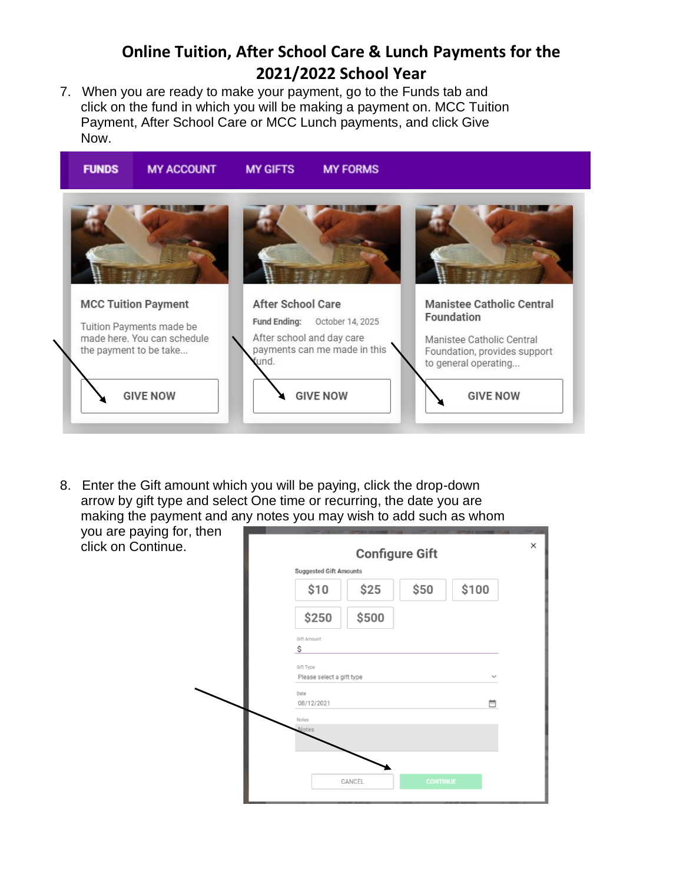7. When you are ready to make your payment, go to the Funds tab and click on the fund in which you will be making a payment on. MCC Tuition Payment, After School Care or MCC Lunch payments, and click Give Now.



8. Enter the Gift amount which you will be paying, click the drop-down arrow by gift type and select One time or recurring, the date you are making the payment and any notes you may wish to add such as whom

you are paying for, then click on Continue.

| <b>Configure Gift</b><br><b>Suggested Gift Amounts</b> |                     |  |  |
|--------------------------------------------------------|---------------------|--|--|
| \$50<br>\$100<br>\$25<br>\$10                          |                     |  |  |
| \$500<br>\$250                                         |                     |  |  |
| Gift Amount<br>\$                                      |                     |  |  |
| Gift Type                                              |                     |  |  |
| Please select a gift type<br>Date                      | $\checkmark$        |  |  |
| 08/12/2021                                             | $\overline{\cdots}$ |  |  |
| Notes<br><b>Notes</b>                                  |                     |  |  |
|                                                        |                     |  |  |
|                                                        |                     |  |  |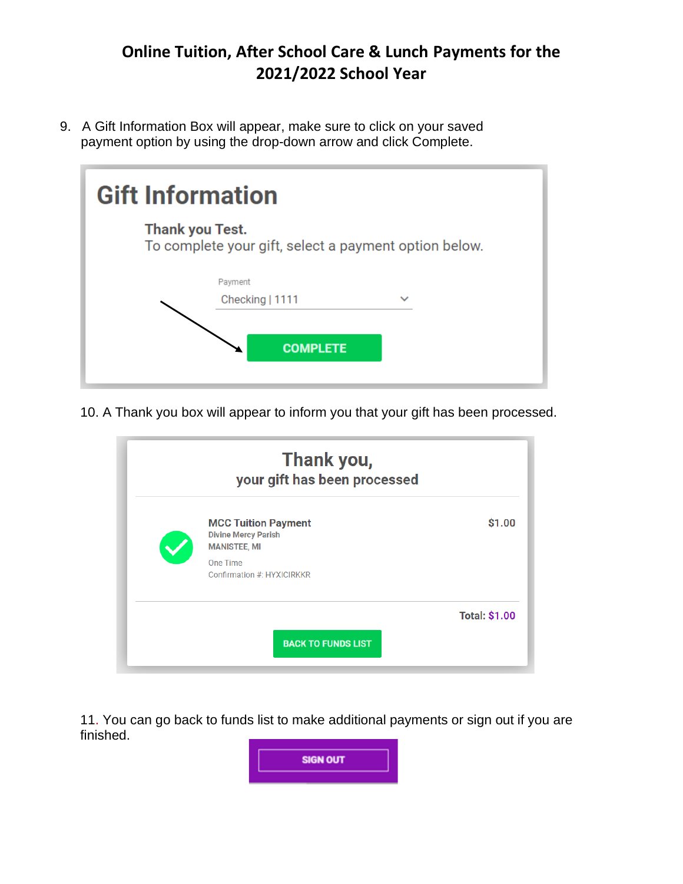9. A Gift Information Box will appear, make sure to click on your saved payment option by using the drop-down arrow and click Complete.

| <b>Gift Information</b> |                                                       |  |  |  |
|-------------------------|-------------------------------------------------------|--|--|--|
| <b>Thank you Test.</b>  | To complete your gift, select a payment option below. |  |  |  |
|                         | Payment<br>Checking   1111<br><b>COMPLETE</b>         |  |  |  |

10. A Thank you box will appear to inform you that your gift has been processed.

| Thank you,<br>your gift has been processed                                                                                |                      |
|---------------------------------------------------------------------------------------------------------------------------|----------------------|
| <b>MCC Tuition Payment</b><br><b>Divine Mercy Parish</b><br><b>MANISTEE, MI</b><br>One Time<br>Confirmation #: HYXICIRKKR | \$1.00               |
| <b>BACK TO FUNDS LIST</b>                                                                                                 | <b>Total: \$1.00</b> |

11. You can go back to funds list to make additional payments or sign out if you are finished.